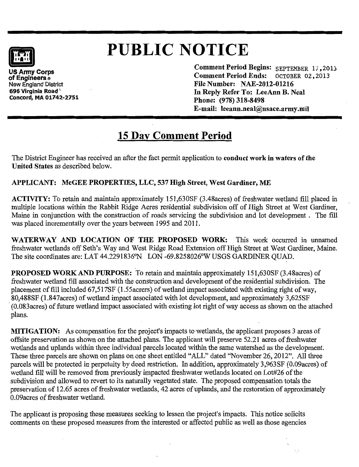# **PUBLIC** NOTICE

of Engineers ® New England District 696 Virginia Road \. Concord, MA 01742-2751 Comment Period Begins: SEPTEMBER 17,2013<br>Comment Period Ends: OCTOBER 02.2013 **Comment Period Ends:** File Number: NAE-2012-01216 In Reply Refer To: LeeAnn B. Neal Phone: (978) 318-8498 E-mail: leeann.neal@usace.army.mil

# 15 Day Comment Period

The District Engineer has received an after the fact permit application to conduct work in waters of the United States as described below.

## APPLICANT: McGEE PROPERTIES, LLC, 537 High Street, West Gardiner, ME

ACTIVITY: To retain and maintain approximately 151,630SF (3.48acres) of freshwater wetland fill placed in multiple locations within the Rabbit Ridge Acres residential subdivision off of High Street at West Gardiner, Maine in conjunction with the construction of roads servicing the subdivision and lot development . The fill was placed incrementally over the years between 1995 and 2011.

WATERWAY AND LOCATION OF THE PROPOSED WORK: This work occurred in unnamed freshwater wetlands off Seth's Way and West Ridge Road Extension off High Street at West Gardiner, Maine. The site coordinates are: LAT 44.2291836°N LON -69.8258026°W USGS GARDINER QUAD.

PROPOSED WORK AND PURPOSE: To retain and maintain approximately 151,630SF (3.48acres) of freshwater wetland fill associated with the construction and development of the residential subdivision. The placement of fill included 67,517SF (1.55 acress) of wetland impact associated with existing right of way, 80,488SF (1.847acres) of wetland impact associated with lot development, and approximately 3,625SF (0.083acres) of future wetland impact associated with existing lot right ofway access as shown on the attached plans.

MITIGATION: As compensation for the project's impacts to wetlands, the applicant proposes 3 areas of offsite preservation as shown on the attached plans. The applicant will preserve 52.21 acres of freshwater wetlands and uplands within three individual parcels located within the same watershed as the development. These three parcels are shown on plans on one sheet entitled "ALL" dated "November 26, 2012". All three parcels will be protected in perpetuity by deed restriction. In addition, approximately 3,963SF (0.09acres) of wetland fill will be removed from previously impacted freshwater wetlands located on Lot#26 of the subdivision and allowed to revert to its naturally vegetated state. The proposed compensation totals the preservation of 12.65 acres of freshwater wetlands, 42 acres of uplands, and the restoration of approximately 0.09acres of freshwater wetland.

The applicant is proposing these measures seeking to lessen the project's impacts. This notice solicits comments on these proposed measures from the interested or affected public as well as those agencies

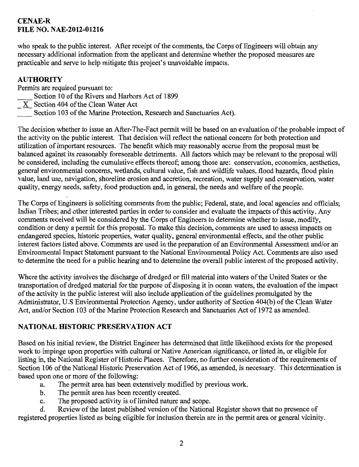#### **CENAE-R FILE NO. NAE-2012-01216**

who speak to the public interest. After receipt of the comments, the Corps of Engineers will obtain any necessary additional information from the applicant and determine whether the proposed measures are practicable and serve to help mitigate this project's unavoidable impacts.

#### **AUTHORITY**

Permits are required pursuant to:

- Section 10 of the Rivers and Harbors Act of 1899
- $\overline{X}$  Section 404 of the Clean Water Act
	- Section 103 of the Marine Protection, Research and Sanctuaries Act).

The decision whether to issue an After-The-Fact permit will be based on an evaluation of the probable impact of the activity on the public interest. That decision will reflect the national concern for both protection and utilization of important resources. The benefit which may reasonably accrue from the proposal must be balanced against its reasonably foreseeable detriments. All factors which may be relevant to the proposal will be considered, including the cumulative effects thereof; among those are: conservation, economics, aesthetics, general environmental concerns, wetlands, cultural value, fish and wildlife values, flood hazards, flood plain value, land use, navigation, shoreline erosion and accretion, recreation, water supply and conservation, water quality, energy needs, safety, food production and, in general, the needs and welfare of the people.

The Corps of Engineers is soliciting comments from the public; Federal, state, and local agencies and officials; Indian Tribes; and other interested parties in order to consider and evaluate the impacts of this activity. Any comments received will be considered by the Corps of Engineers to determine whether to issue, modify, condition or deny a permit for this proposal. To make this decision, comments are used to assess impacts on endangered species, historic properties, water quality, general environmental effects, and the other public interest factors listed above. Comments are used in the preparation of an Environmental Assessment and/or an Environmental Impact Statement pursuant to the National Environmental Policy Act. Comments are also used to determine the need for a public hearing and to determine the overall public interest of the proposed activity.

Where the activity involves the discharge of dredged or fill material into waters of the United States or the transportation of dredged material for the purpose of disposing it in ocean waters, the evaluation of the impact of the activity in the public interest will also include application of the guidelines promulgated by the Administrator, U.S Environmental Protection Agency, under authority of Section 404(b) of the Clean Water Act, and/or Section 103 of the Marine Protection Research and Sanctuaries Act of 1972 as amended.

#### **NATIONAL HISTORIC PRESERVATION ACT**

Based on his initial review, the District Engineer has determined that little likelihood exists for the proposed work to impinge upon properties with cultural or Native American significance, or listed in, or eligible for listing in, the National Register of Historic Places. Therefore, no further consideration of the requirements of Section 106 of the National Historic Preservation Act of 1966, as amended, is necessary. This determination is based upon one or more of the following:

- a. The permit area has been extensively modified by previous work.
- b. The permit area has been recently created.
- c. The proposed activity is of limited nature and scope.

d. Review of the latest published version of the National Register shows that no presence of registered properties listed as being eligible for inclusion therein are in the permit area or general vicinity.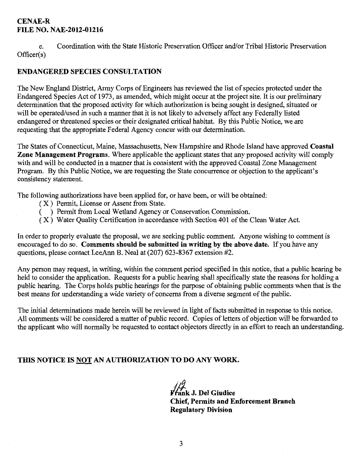#### CENAE-R FILE NO. NAE-2012-01216

e. Coordination with the State Historic Preservation Officer and/or Tribal Historic Preservation Officer(s)

#### ENDANGERED SPECIES CONSULTATION

The New England District, Army Corps of Engineers has reviewed the list of species protected under the Endangered Species Act of 1973, as amended, which might occur at the project site. It is our preliminary determination that the proposed activity for which authorization is being sought is designed, situated or will be operated/used in such a manner that it is not likely to adversely affect any Federally listed endangered or threatened species or their designated critical habitat. By this Public Notice, we are requesting that the appropriate Federal Agency concur with our determination.

The States of Connecticut, Maine, Massachusetts, New Hampshire and Rhode Island have approved Coastal Zone Management Programs. Where applicable the applicant states that any proposed activity will comply with and will be conducted in a manner that is consistent with the approved Coastal Zone Management Program. By this Public Notice, we are requesting the State concurrence or objection to the applicant's consistency statement.

The following authorizations have been applied for, or have been, or will be obtained:

- ( X ) Permit, License or Assent from State.
- (12) Permit from Local Wetland Agency or Conservation Commission.
- ( X ) Water Quality Certification in accordance with Section 401 of the Clean Water Act.

In order to properly evaluate the proposal, we are seeking public comment. Anyone wishing to comment is encouraged to do so. Comments should be submitted in writing by the above date. If you have any questions, please contact LeeAnn B. Neal at (207) 623-8367 extension #2.

Any person may request, in writing, within the comment period specified in this notice, that a public hearing be held to consider the application. Requests for a public hearing shall specifically state the reasons for holding a public hearing. The Corps holds public hearings for the purpose of obtaining public comments when that is the best means for understanding a wide variety of concerns from a diverse segment of the public.

The initial determinations made herein will be reviewed in light of facts submitted in response to this notice. All comments will be considered a matter of public record. Copies of letters of objection will be forwarded to the applicant who will normally be requested to contact objectors directly in an effort to reach an understanding.

### THIS NOTICE IS <u>NOT</u> AN AUTHORIZATION TO DO ANY WORK.

//<del>/</del><br>Frank J. Del Giudice Chief, Permits and Enforcement Branch Regulatory Division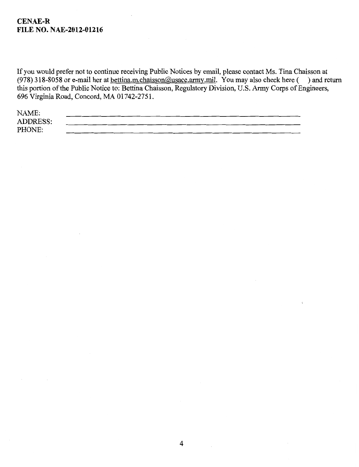#### **CENAE-R FILE NO. NAE-2012-01216**

If you would prefer not to continue receiving Public Notices by email, please contact Ms. Tina Chaisson at (978) 318-8058 or e-mail her at <u>bettina.m.chaisson@usace.army.mil</u>. You may also check here ( ) and return this portion of the Public Notice to: Bettina Chaisson, Regulatory Division, U.S. Army Corps of Engineers, 696 Virginia Road, Concord, MA 01742-2751.

| NAME:           |  |
|-----------------|--|
| <b>ADDRESS:</b> |  |
| PHONE:          |  |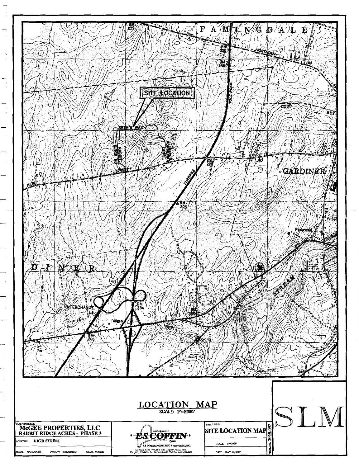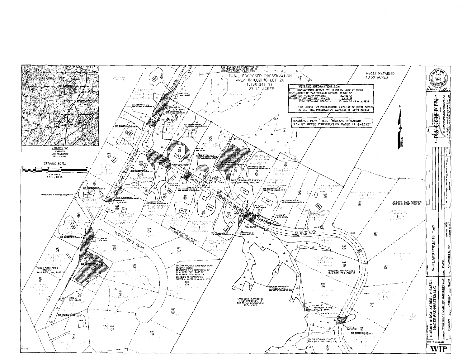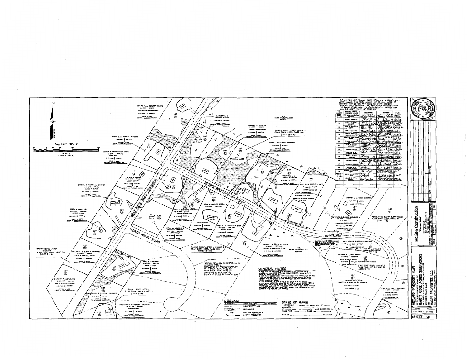